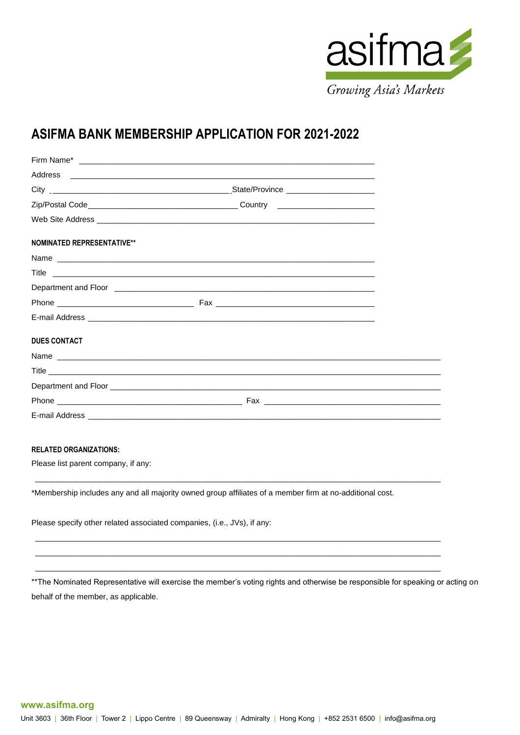

# **ASIFMA BANK MEMBERSHIP APPLICATION FOR 2021-2022**

| <b>NOMINATED REPRESENTATIVE**</b> |  |
|-----------------------------------|--|
|                                   |  |
|                                   |  |
|                                   |  |
|                                   |  |
|                                   |  |
| <b>DUES CONTACT</b>               |  |
|                                   |  |
|                                   |  |
|                                   |  |
|                                   |  |
|                                   |  |

### **RELATED ORGANIZATIONS:**

Please list parent company, if any:

\*Membership includes any and all majority owned group affiliates of a member firm at no-additional cost.

 $\_$  ,  $\_$  ,  $\_$  ,  $\_$  ,  $\_$  ,  $\_$  ,  $\_$  ,  $\_$  ,  $\_$  ,  $\_$  ,  $\_$  ,  $\_$  ,  $\_$  ,  $\_$  ,  $\_$  ,  $\_$  ,  $\_$  ,  $\_$  ,  $\_$  ,  $\_$  ,  $\_$  ,  $\_$  ,  $\_$  ,  $\_$  ,  $\_$  ,  $\_$  ,  $\_$  ,  $\_$  ,  $\_$  ,  $\_$  ,  $\_$  ,  $\_$  ,  $\_$  ,  $\_$  ,  $\_$  ,  $\_$  ,  $\_$  ,

 $\_$  ,  $\_$  ,  $\_$  ,  $\_$  ,  $\_$  ,  $\_$  ,  $\_$  ,  $\_$  ,  $\_$  ,  $\_$  ,  $\_$  ,  $\_$  ,  $\_$  ,  $\_$  ,  $\_$  ,  $\_$  ,  $\_$  ,  $\_$  ,  $\_$  ,  $\_$  ,  $\_$  ,  $\_$  ,  $\_$  ,  $\_$  ,  $\_$  ,  $\_$  ,  $\_$  ,  $\_$  ,  $\_$  ,  $\_$  ,  $\_$  ,  $\_$  ,  $\_$  ,  $\_$  ,  $\_$  ,  $\_$  ,  $\_$  ,  $\_$  ,  $\_$  ,  $\_$  ,  $\_$  ,  $\_$  ,  $\_$  ,  $\_$  ,  $\_$  ,  $\_$  ,  $\_$  ,  $\_$  ,  $\_$  ,  $\_$  ,  $\_$  ,  $\_$  ,  $\_$  ,  $\_$  ,  $\_$  ,  $\_$  ,  $\_$  ,  $\_$  ,  $\_$  ,  $\_$  ,  $\_$  ,  $\_$  ,  $\_$  ,  $\_$  ,  $\_$  ,  $\_$  ,  $\_$  ,  $\_$  ,  $\_$  ,  $\_$  ,  $\_$  ,  $\_$  ,  $\_$  ,  $\_$  ,  $\_$  ,  $\_$  ,  $\_$  ,  $\_$  ,  $\_$  ,  $\_$  ,  $\_$  ,  $\_$  ,  $\_$  ,  $\_$  ,  $\_$  ,  $\_$  ,  $\_$  ,  $\_$  ,  $\_$  ,  $\_$  ,  $\_$  ,  $\_$  ,  $\_$  ,  $\_$  ,  $\_$  ,  $\_$  ,  $\_$  ,  $\_$  ,  $\_$  ,  $\_$  ,  $\_$  ,  $\_$  ,  $\_$  ,  $\_$  ,  $\_$  ,  $\_$  ,  $\_$  ,  $\_$  ,  $\_$  ,  $\_$  ,  $\_$  ,

Please specify other related associated companies, (i.e., JVs), if any:

\*\*The Nominated Representative will exercise the member's voting rights and otherwise be responsible for speaking or acting on behalf of the member, as applicable.

#### **www.asifma.org**

Unit 3603 | 36th Floor | Tower 2 | Lippo Centre | 89 Queensway | Admiralty | Hong Kong | +852 2531 6500 | info@asifma.org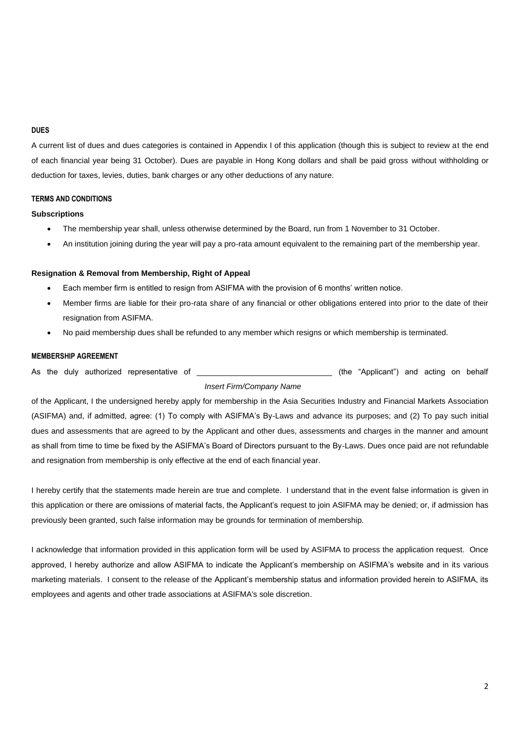### **DUES**

A current list of dues and dues categories is contained in Appendix I of this application (though this is subject to review at the end of each financial year being 31 October). Dues are payable in Hong Kong dollars and shall be paid gross without withholding or deduction for taxes, levies, duties, bank charges or any other deductions of any nature.

### **TERMS AND CONDITIONS**

### **Subscriptions**

- The membership year shall, unless otherwise determined by the Board, run from 1 November to 31 October.
- An institution joining during the year will pay a pro-rata amount equivalent to the remaining part of the membership year.

### **Resignation & Removal from Membership, Right of Appeal**

- Each member firm is entitled to resign from ASIFMA with the provision of 6 months' written notice.
- Member firms are liable for their pro-rata share of any financial or other obligations entered into prior to the date of their resignation from ASIFMA.
- No paid membership dues shall be refunded to any member which resigns or which membership is terminated.

### **MEMBERSHIP AGREEMENT**

As the duly authorized representative of the the state of the "Applicant") and acting on behalf

## *Insert Firm/Company Name*

of the Applicant, I the undersigned hereby apply for membership in the Asia Securities Industry and Financial Markets Association (ASIFMA) and, if admitted, agree: (1) To comply with ASIFMA's By-Laws and advance its purposes; and (2) To pay such initial dues and assessments that are agreed to by the Applicant and other dues, assessments and charges in the manner and amount as shall from time to time be fixed by the ASIFMA's Board of Directors pursuant to the By-Laws. Dues once paid are not refundable and resignation from membership is only effective at the end of each financial year.

I hereby certify that the statements made herein are true and complete. I understand that in the event false information is given in this application or there are omissions of material facts, the Applicant's request to join ASIFMA may be denied; or, if admission has previously been granted, such false information may be grounds for termination of membership.

I acknowledge that information provided in this application form will be used by ASIFMA to process the application request. Once approved, I hereby authorize and allow ASIFMA to indicate the Applicant's membership on ASIFMA's website and in its various marketing materials. I consent to the release of the Applicant's membership status and information provided herein to ASIFMA, its employees and agents and other trade associations at ASIFMA's sole discretion.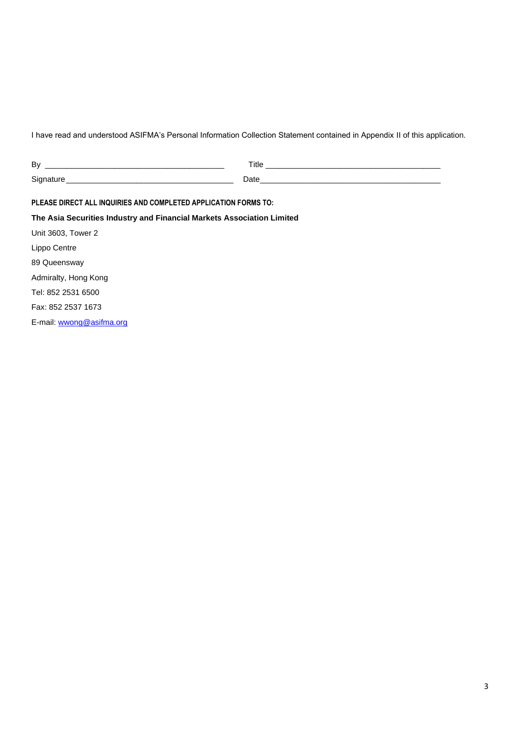I have read and understood ASIFMA's Personal Information Collection Statement contained in Appendix II of this application.

| PLEASE DIRECT ALL INQUIRIES AND COMPLETED APPLICATION FORMS TO:        |  |
|------------------------------------------------------------------------|--|
| The Asia Securities Industry and Financial Markets Association Limited |  |
| Unit 3603, Tower 2                                                     |  |
| Lippo Centre                                                           |  |
| 89 Queensway                                                           |  |
| Admiralty, Hong Kong                                                   |  |
| Tel: 852 2531 6500                                                     |  |
| Fax: 852 2537 1673                                                     |  |
| E-mail: wwong@asifma.org                                               |  |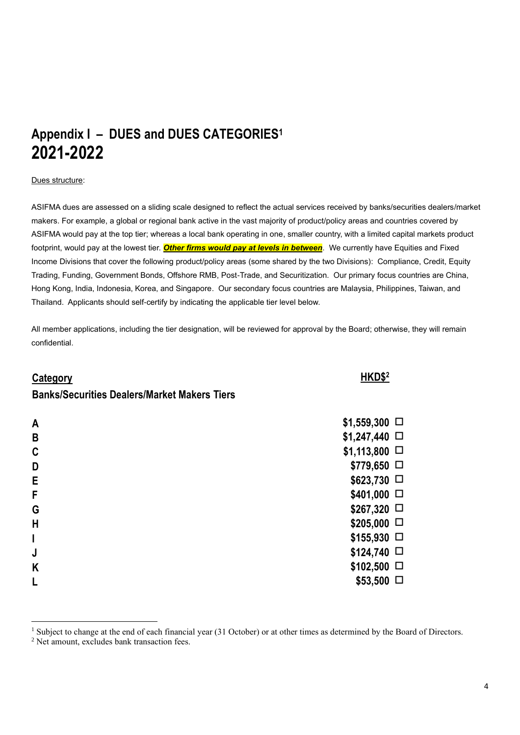# **Appendix I – DUES and DUES CATEGORIES<sup>1</sup> 2021-2022**

### Dues structure:

ASIFMA dues are assessed on a sliding scale designed to reflect the actual services received by banks/securities dealers/market makers. For example, a global or regional bank active in the vast majority of product/policy areas and countries covered by ASIFMA would pay at the top tier; whereas a local bank operating in one, smaller country, with a limited capital markets product footprint, would pay at the lowest tier. *Other firms would pay at levels in between*. We currently have Equities and Fixed Income Divisions that cover the following product/policy areas (some shared by the two Divisions): Compliance, Credit, Equity Trading, Funding, Government Bonds, Offshore RMB, Post-Trade, and Securitization. Our primary focus countries are China, Hong Kong, India, Indonesia, Korea, and Singapore. Our secondary focus countries are Malaysia, Philippines, Taiwan, and Thailand. Applicants should self-certify by indicating the applicable tier level below.

All member applications, including the tier designation, will be reviewed for approval by the Board; otherwise, they will remain confidential.

## **Category HKD\$<sup>2</sup>**

## **Banks/Securities Dealers/Market Makers Tiers**

| $\mathsf{A}$ | $$1,559,300$ $\Box$    |
|--------------|------------------------|
| $\mathbf B$  | $$1,247,440$ $\square$ |
| $\mathbf{C}$ | $$1,113,800$ $\Box$    |
| D            | $$779,650$ $\square$   |
| $\mathsf E$  | $$623,730$ $\square$   |
| $\mathsf F$  | $$401,000$ $\square$   |
| G            | $$267,320$ $\square$   |
| H            | $$205,000$ $\square$   |
|              | $$155,930$ $\square$   |
| J            | $$124,740$ $\square$   |
| K            | $$102,500$ $\Box$      |
| L            | $$53,500$ $\Box$       |
|              |                        |

<sup>&</sup>lt;sup>1</sup> Subject to change at the end of each financial year (31 October) or at other times as determined by the Board of Directors.

<sup>&</sup>lt;sup>2</sup> Net amount, excludes bank transaction fees.